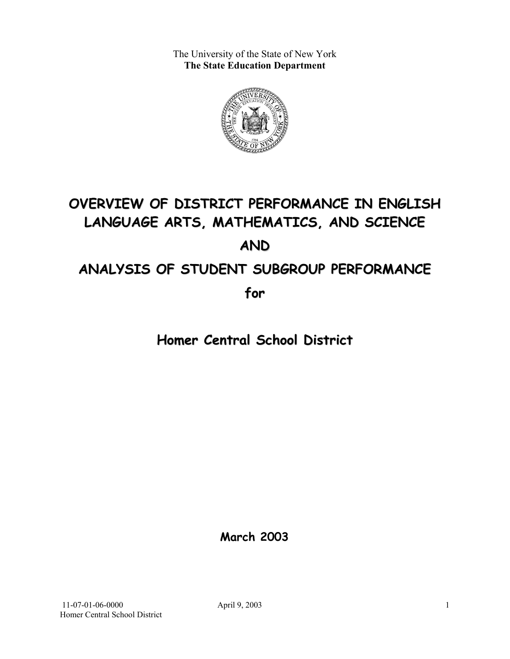The University of the State of New York **The State Education Department** 



# **OVERVIEW OF DISTRICT PERFORMANCE IN ENGLISH LANGUAGE ARTS, MATHEMATICS, AND SCIENCE AND ANALYSIS OF STUDENT SUBGROUP PERFORMANCE**

**for**

**Homer Central School District**

**March 2003**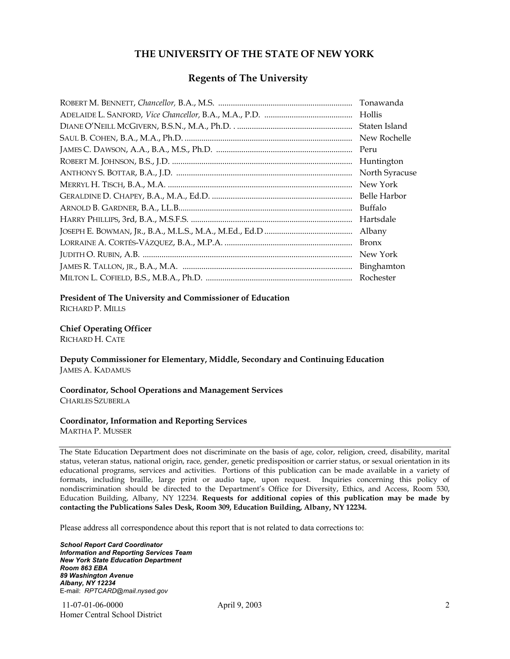#### **THE UNIVERSITY OF THE STATE OF NEW YORK**

#### **Regents of The University**

| Tonawanda      |
|----------------|
| Hollis         |
| Staten Island  |
| New Rochelle   |
| Peru           |
| Huntington     |
| North Syracuse |
| New York       |
| Belle Harbor   |
| Buffalo        |
| Hartsdale      |
| Albany         |
| <b>Bronx</b>   |
| New York       |
| Binghamton     |
| Rochester      |

#### **President of The University and Commissioner of Education**

RICHARD P. MILLS

#### **Chief Operating Officer**

RICHARD H. CATE

**Deputy Commissioner for Elementary, Middle, Secondary and Continuing Education**  JAMES A. KADAMUS

#### **Coordinator, School Operations and Management Services**  CHARLES SZUBERLA

#### **Coordinator, Information and Reporting Services**

MARTHA P. MUSSER

The State Education Department does not discriminate on the basis of age, color, religion, creed, disability, marital status, veteran status, national origin, race, gender, genetic predisposition or carrier status, or sexual orientation in its educational programs, services and activities. Portions of this publication can be made available in a variety of formats, including braille, large print or audio tape, upon request. Inquiries concerning this policy of nondiscrimination should be directed to the Department's Office for Diversity, Ethics, and Access, Room 530, Education Building, Albany, NY 12234. **Requests for additional copies of this publication may be made by contacting the Publications Sales Desk, Room 309, Education Building, Albany, NY 12234.** 

Please address all correspondence about this report that is not related to data corrections to:

*School Report Card Coordinator Information and Reporting Services Team New York State Education Department Room 863 EBA 89 Washington Avenue Albany, NY 12234*  E-mail: *RPTCARD@mail.nysed.gov*

 11-07-01-06-0000 April 9, 2003 Homer Central School District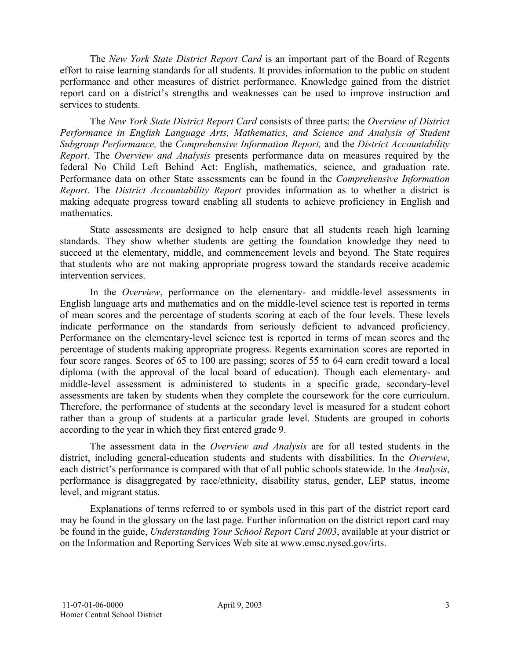The *New York State District Report Card* is an important part of the Board of Regents effort to raise learning standards for all students. It provides information to the public on student performance and other measures of district performance. Knowledge gained from the district report card on a district's strengths and weaknesses can be used to improve instruction and services to students.

The *New York State District Report Card* consists of three parts: the *Overview of District Performance in English Language Arts, Mathematics, and Science and Analysis of Student Subgroup Performance,* the *Comprehensive Information Report,* and the *District Accountability Report*. The *Overview and Analysis* presents performance data on measures required by the federal No Child Left Behind Act: English, mathematics, science, and graduation rate. Performance data on other State assessments can be found in the *Comprehensive Information Report*. The *District Accountability Report* provides information as to whether a district is making adequate progress toward enabling all students to achieve proficiency in English and mathematics.

State assessments are designed to help ensure that all students reach high learning standards. They show whether students are getting the foundation knowledge they need to succeed at the elementary, middle, and commencement levels and beyond. The State requires that students who are not making appropriate progress toward the standards receive academic intervention services.

In the *Overview*, performance on the elementary- and middle-level assessments in English language arts and mathematics and on the middle-level science test is reported in terms of mean scores and the percentage of students scoring at each of the four levels. These levels indicate performance on the standards from seriously deficient to advanced proficiency. Performance on the elementary-level science test is reported in terms of mean scores and the percentage of students making appropriate progress. Regents examination scores are reported in four score ranges. Scores of 65 to 100 are passing; scores of 55 to 64 earn credit toward a local diploma (with the approval of the local board of education). Though each elementary- and middle-level assessment is administered to students in a specific grade, secondary-level assessments are taken by students when they complete the coursework for the core curriculum. Therefore, the performance of students at the secondary level is measured for a student cohort rather than a group of students at a particular grade level. Students are grouped in cohorts according to the year in which they first entered grade 9.

The assessment data in the *Overview and Analysis* are for all tested students in the district, including general-education students and students with disabilities. In the *Overview*, each district's performance is compared with that of all public schools statewide. In the *Analysis*, performance is disaggregated by race/ethnicity, disability status, gender, LEP status, income level, and migrant status.

Explanations of terms referred to or symbols used in this part of the district report card may be found in the glossary on the last page. Further information on the district report card may be found in the guide, *Understanding Your School Report Card 2003*, available at your district or on the Information and Reporting Services Web site at www.emsc.nysed.gov/irts.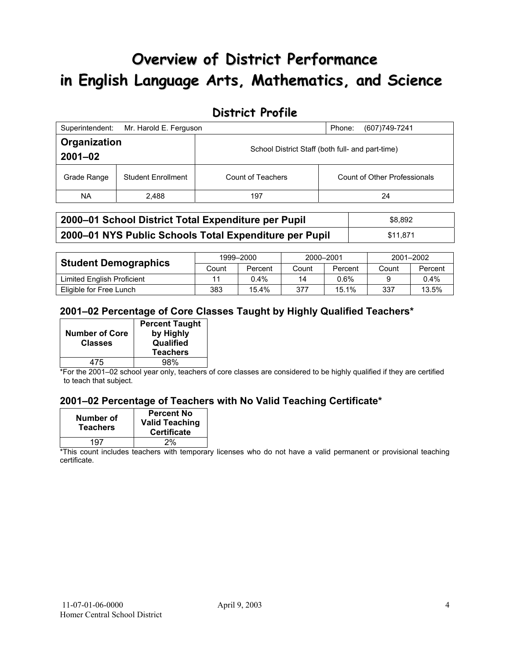# **Overview of District Performance in English Language Arts, Mathematics, and Science**

## **District Profile**

| Superintendent:             | Mr. Harold E. Ferguson    |                                                  | Phone:<br>(607) 749-7241     |
|-----------------------------|---------------------------|--------------------------------------------------|------------------------------|
| Organization<br>$2001 - 02$ |                           | School District Staff (both full- and part-time) |                              |
| Grade Range                 | <b>Student Enrollment</b> | Count of Teachers                                | Count of Other Professionals |
| NA.                         | 2.488                     | 197                                              | 24                           |

| 2000–01 School District Total Expenditure per Pupil    | \$8.892  |
|--------------------------------------------------------|----------|
| 2000-01 NYS Public Schools Total Expenditure per Pupil | \$11.871 |

|                             | 1999-2000 |         | 2000-2001 |         | 2001-2002 |         |
|-----------------------------|-----------|---------|-----------|---------|-----------|---------|
| <b>Student Demographics</b> | Count     | Percent | Count     | Percent | Count     | Percent |
| Limited English Proficient  |           | $0.4\%$ | 14        | $0.6\%$ |           | $0.4\%$ |
| Eligible for Free Lunch     | 383       | 15.4%   | 377       | 15.1%   | 337       | 13.5%   |

### **2001–02 Percentage of Core Classes Taught by Highly Qualified Teachers\***

| <b>Number of Core</b><br><b>Classes</b> | <b>Percent Taught</b><br>by Highly<br>Qualified<br><b>Teachers</b> |
|-----------------------------------------|--------------------------------------------------------------------|
|                                         |                                                                    |
| 475                                     | 98%                                                                |

\*For the 2001–02 school year only, teachers of core classes are considered to be highly qualified if they are certified to teach that subject.

### **2001–02 Percentage of Teachers with No Valid Teaching Certificate\***

| Number of<br><b>Teachers</b> | <b>Percent No</b><br><b>Valid Teaching</b><br><b>Certificate</b> |
|------------------------------|------------------------------------------------------------------|
| 197                          | 2%                                                               |

\*This count includes teachers with temporary licenses who do not have a valid permanent or provisional teaching certificate.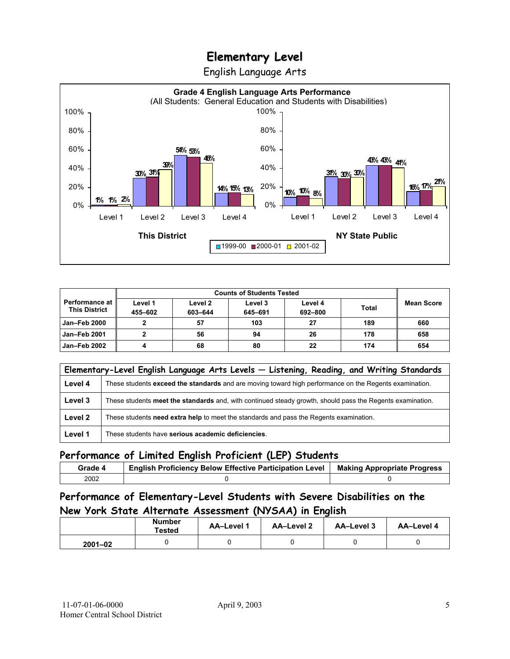English Language Arts



|                                                 |                    | <b>Counts of Students Tested</b> |                    |                    |              |            |
|-------------------------------------------------|--------------------|----------------------------------|--------------------|--------------------|--------------|------------|
| <b>Performance at I</b><br><b>This District</b> | Level 1<br>455-602 | Level 2<br>603-644               | Level 3<br>645-691 | Level 4<br>692-800 | <b>Total</b> | Mean Score |
| <b>Jan-Feb 2000</b>                             |                    | 57                               | 103                | 27                 | 189          | 660        |
| <b>Jan-Feb 2001</b>                             |                    | 56                               | 94                 | 26                 | 178          | 658        |
| Jan-Feb 2002                                    |                    | 68                               | 80                 | 22                 | 174          | 654        |

|         | Elementary-Level English Language Arts Levels - Listening, Reading, and Writing Standards                 |  |  |  |
|---------|-----------------------------------------------------------------------------------------------------------|--|--|--|
| Level 4 | These students exceed the standards and are moving toward high performance on the Regents examination.    |  |  |  |
| Level 3 | These students meet the standards and, with continued steady growth, should pass the Regents examination. |  |  |  |
| Level 2 | These students need extra help to meet the standards and pass the Regents examination.                    |  |  |  |
| Level 1 | These students have serious academic deficiencies.                                                        |  |  |  |

## **Performance of Limited English Proficient (LEP) Students**

| Grade 4 | <b>English Proficiency Below Effective Participation Level</b> | <b>Making Appropriate Progress</b> |
|---------|----------------------------------------------------------------|------------------------------------|
| 2002    |                                                                |                                    |

## **Performance of Elementary-Level Students with Severe Disabilities on the New York State Alternate Assessment (NYSAA) in English**

|             | <b>Number</b><br>Tested | <b>AA-Level 1</b> | AA-Level 2 | AA-Level 3 | AA-Level 4 |
|-------------|-------------------------|-------------------|------------|------------|------------|
| $2001 - 02$ |                         |                   |            |            |            |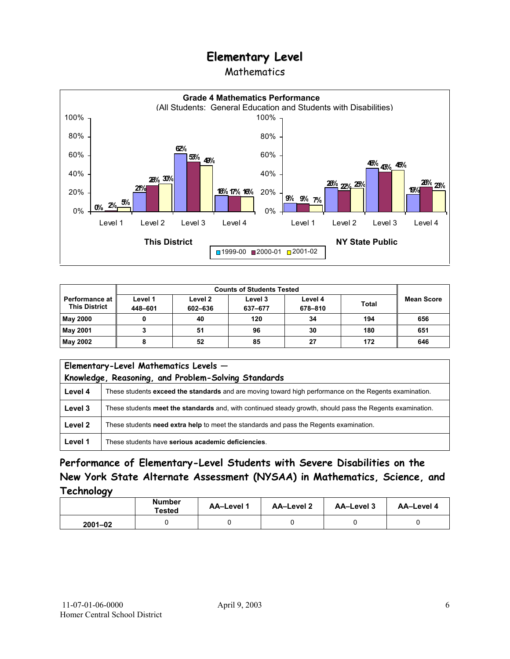### Mathematics



|                                                 | <b>Counts of Students Tested</b> |                    |                    |                    |              |                   |
|-------------------------------------------------|----------------------------------|--------------------|--------------------|--------------------|--------------|-------------------|
| <b>Performance at l</b><br><b>This District</b> | Level 1<br>448-601               | Level 2<br>602-636 | Level 3<br>637-677 | Level 4<br>678-810 | <b>Total</b> | <b>Mean Score</b> |
| <b>May 2000</b>                                 |                                  | 40                 | 120                | 34                 | 194          | 656               |
| May 2001                                        |                                  | 51                 | 96                 | 30                 | 180          | 651               |
| May 2002                                        |                                  | 52                 | 85                 | 27                 | 172          | 646               |

|         | Elementary-Level Mathematics Levels -<br>Knowledge, Reasoning, and Problem-Solving Standards              |  |  |
|---------|-----------------------------------------------------------------------------------------------------------|--|--|
| Level 4 | These students exceed the standards and are moving toward high performance on the Regents examination.    |  |  |
| Level 3 | These students meet the standards and, with continued steady growth, should pass the Regents examination. |  |  |
| Level 2 | These students need extra help to meet the standards and pass the Regents examination.                    |  |  |
| Level 1 | These students have serious academic deficiencies.                                                        |  |  |

**Performance of Elementary-Level Students with Severe Disabilities on the New York State Alternate Assessment (NYSAA) in Mathematics, Science, and Technology** 

|             | <b>Number</b><br><b>Tested</b> | AA-Level 1 | <b>AA-Level 2</b> | AA-Level 3 | AA-Level 4 |
|-------------|--------------------------------|------------|-------------------|------------|------------|
| $2001 - 02$ |                                |            |                   |            |            |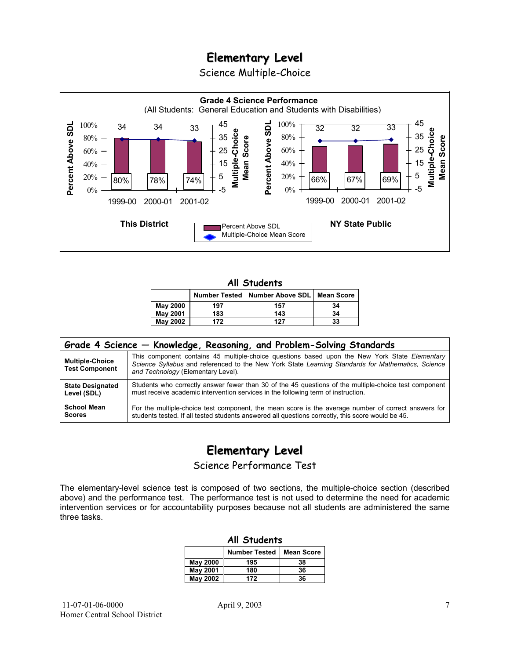Science Multiple-Choice



#### **All Students**

|                 |     | Number Tested   Number Above SDL   Mean Score |    |
|-----------------|-----|-----------------------------------------------|----|
| <b>May 2000</b> | 197 | 157                                           | 34 |
| <b>May 2001</b> | 183 | 143                                           | 34 |
| <b>May 2002</b> | 172 | 127                                           | 33 |

| Grade 4 Science - Knowledge, Reasoning, and Problem-Solving Standards |                                                                                                                                                                                                                                          |  |  |  |  |  |
|-----------------------------------------------------------------------|------------------------------------------------------------------------------------------------------------------------------------------------------------------------------------------------------------------------------------------|--|--|--|--|--|
| <b>Multiple-Choice</b><br><b>Test Component</b>                       | This component contains 45 multiple-choice questions based upon the New York State Elementary<br>Science Syllabus and referenced to the New York State Learning Standards for Mathematics, Science<br>and Technology (Elementary Level). |  |  |  |  |  |
| <b>State Designated</b>                                               | Students who correctly answer fewer than 30 of the 45 questions of the multiple-choice test component                                                                                                                                    |  |  |  |  |  |
| Level (SDL)                                                           | must receive academic intervention services in the following term of instruction.                                                                                                                                                        |  |  |  |  |  |
| <b>School Mean</b>                                                    | For the multiple-choice test component, the mean score is the average number of correct answers for                                                                                                                                      |  |  |  |  |  |
| <b>Scores</b>                                                         | students tested. If all tested students answered all questions correctly, this score would be 45.                                                                                                                                        |  |  |  |  |  |

# **Elementary Level**

Science Performance Test

The elementary-level science test is composed of two sections, the multiple-choice section (described above) and the performance test. The performance test is not used to determine the need for academic intervention services or for accountability purposes because not all students are administered the same three tasks.

| All Students                              |     |    |  |  |  |
|-------------------------------------------|-----|----|--|--|--|
| <b>Number Tested</b><br><b>Mean Score</b> |     |    |  |  |  |
| May 2000                                  | 195 | 38 |  |  |  |
| <b>May 2001</b>                           | 180 | 36 |  |  |  |
| <b>May 2002</b><br>36<br>172              |     |    |  |  |  |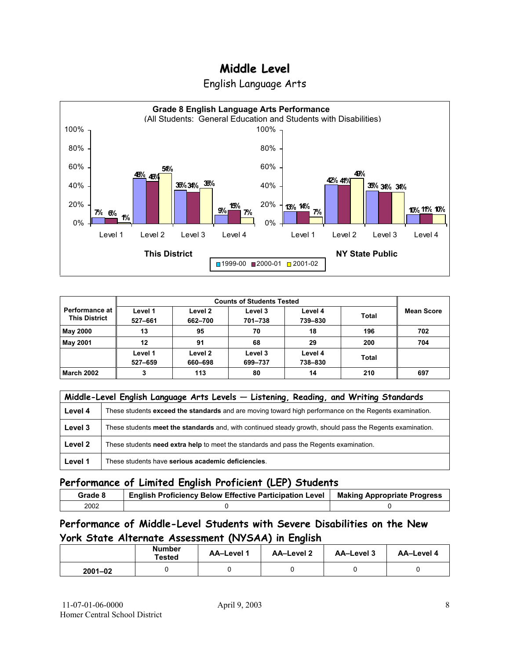



| Performance at I<br><b>This District</b> | Level 1<br>527-661 | Level 2<br>662-700 | Level 3<br>701-738 | Level 4<br>739-830 | <b>Total</b> | <b>Mean Score</b> |
|------------------------------------------|--------------------|--------------------|--------------------|--------------------|--------------|-------------------|
| May 2000                                 | 13                 | 95                 | 70                 | 18                 | 196          | 702               |
| <b>May 2001</b>                          | 12                 | 91                 | 68                 | 29                 | 200          | 704               |
|                                          | Level 1<br>527-659 | Level 2<br>660-698 | Level 3<br>699-737 | Level 4<br>738-830 | <b>Total</b> |                   |
| <b>March 2002</b>                        | 3                  | 113                | 80                 | 14                 | 210          | 697               |

|         | Middle-Level English Language Arts Levels - Listening, Reading, and Writing Standards                     |  |  |  |  |
|---------|-----------------------------------------------------------------------------------------------------------|--|--|--|--|
| Level 4 | These students exceed the standards and are moving toward high performance on the Regents examination.    |  |  |  |  |
| Level 3 | These students meet the standards and, with continued steady growth, should pass the Regents examination. |  |  |  |  |
| Level 2 | These students need extra help to meet the standards and pass the Regents examination.                    |  |  |  |  |
| Level 1 | These students have serious academic deficiencies.                                                        |  |  |  |  |

## **Performance of Limited English Proficient (LEP) Students**

| Grade 8 | <b>English Proficiency Below Effective Participation Level</b> | <b>Making Appropriate Progress</b> |
|---------|----------------------------------------------------------------|------------------------------------|
| 2002    |                                                                |                                    |

## **Performance of Middle-Level Students with Severe Disabilities on the New York State Alternate Assessment (NYSAA) in English**

|             | <b>Number</b><br>Tested | <b>AA-Level 1</b> | <b>AA-Level 2</b> | AA-Level 3 | AA-Level 4 |
|-------------|-------------------------|-------------------|-------------------|------------|------------|
| $2001 - 02$ |                         |                   |                   |            |            |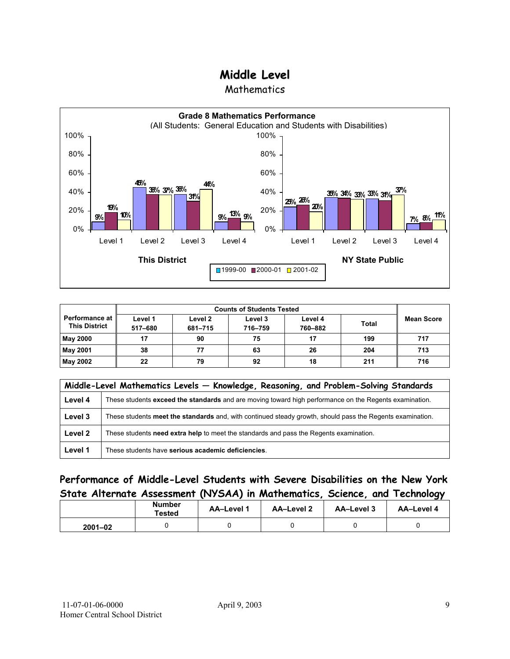**Mathematics** 



| <b>Performance at</b><br><b>This District</b> | Level 1<br>517-680 | Level 2<br>681-715 | Level 3<br>716-759 | Level 4<br>760-882 | <b>Total</b> | <b>Mean Score</b> |
|-----------------------------------------------|--------------------|--------------------|--------------------|--------------------|--------------|-------------------|
| <b>May 2000</b>                               | 17                 | 90                 | 75                 | 17                 | 199          | 717               |
| <b>May 2001</b>                               | 38                 | 77                 | 63                 | 26                 | 204          | 713               |
| <b>May 2002</b>                               | 22                 | 79                 | 92                 | 18                 | 211          | 716               |

|         | Middle-Level Mathematics Levels - Knowledge, Reasoning, and Problem-Solving Standards                     |  |  |  |  |  |
|---------|-----------------------------------------------------------------------------------------------------------|--|--|--|--|--|
| Level 4 | These students exceed the standards and are moving toward high performance on the Regents examination.    |  |  |  |  |  |
| Level 3 | These students meet the standards and, with continued steady growth, should pass the Regents examination. |  |  |  |  |  |
| Level 2 | These students need extra help to meet the standards and pass the Regents examination.                    |  |  |  |  |  |
| Level 1 | These students have serious academic deficiencies.                                                        |  |  |  |  |  |

## **Performance of Middle-Level Students with Severe Disabilities on the New York State Alternate Assessment (NYSAA) in Mathematics, Science, and Technology**

|             | Number<br>Tested | AA-Level 1<br>AA-Level 2 |  | AA-Level 3 | AA-Level 4 |
|-------------|------------------|--------------------------|--|------------|------------|
| $2001 - 02$ |                  |                          |  |            |            |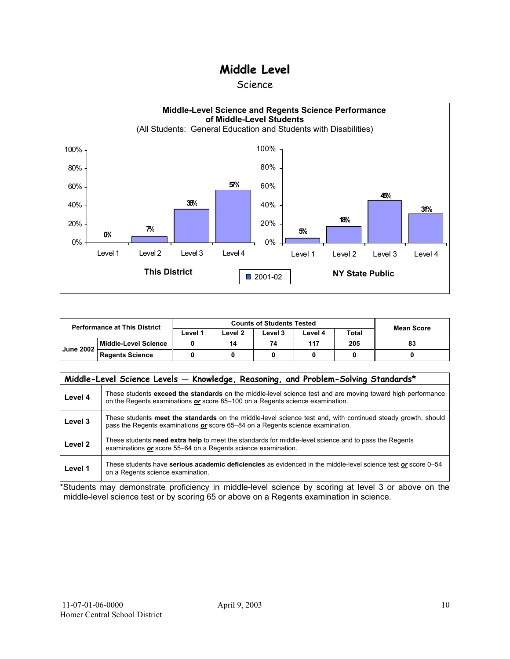#### Science



| <b>Performance at This District</b> |                        | <b>Counts of Students Tested</b> |         |         |         |              | <b>Mean Score</b> |
|-------------------------------------|------------------------|----------------------------------|---------|---------|---------|--------------|-------------------|
|                                     |                        | ∟evel 1                          | ∟evel 2 | Level 3 | Level 4 | <b>Total</b> |                   |
|                                     | Middle-Level Science   |                                  | 14      | 74      | 117     | 205          | 83                |
| <b>June 2002</b>                    | <b>Regents Science</b> |                                  |         |         |         |              |                   |

|                    | Middle-Level Science Levels - Knowledge, Reasoning, and Problem-Solving Standards*                                                                                                             |
|--------------------|------------------------------------------------------------------------------------------------------------------------------------------------------------------------------------------------|
| Level 4            | These students exceed the standards on the middle-level science test and are moving toward high performance<br>on the Regents examinations or score 85-100 on a Regents science examination.   |
| Level 3            | These students meet the standards on the middle-level science test and, with continued steady growth, should<br>pass the Regents examinations or score 65–84 on a Regents science examination. |
| Level <sub>2</sub> | These students need extra help to meet the standards for middle-level science and to pass the Regents<br>examinations or score 55–64 on a Regents science examination.                         |
| Level 1            | These students have serious academic deficiencies as evidenced in the middle-level science test or score 0–54<br>on a Regents science examination.                                             |

\*Students may demonstrate proficiency in middle-level science by scoring at level 3 or above on the middle-level science test or by scoring 65 or above on a Regents examination in science.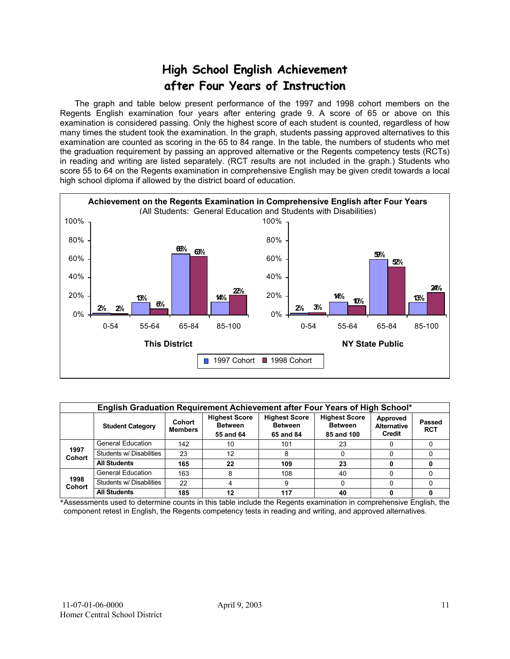# **High School English Achievement after Four Years of Instruction**

 The graph and table below present performance of the 1997 and 1998 cohort members on the Regents English examination four years after entering grade 9. A score of 65 or above on this examination is considered passing. Only the highest score of each student is counted, regardless of how many times the student took the examination. In the graph, students passing approved alternatives to this examination are counted as scoring in the 65 to 84 range. In the table, the numbers of students who met the graduation requirement by passing an approved alternative or the Regents competency tests (RCTs) in reading and writing are listed separately. (RCT results are not included in the graph.) Students who score 55 to 64 on the Regents examination in comprehensive English may be given credit towards a local high school diploma if allowed by the district board of education.



|                       | English Graduation Requirement Achievement after Four Years of High School* |                          |                                                     |                                                     |                                                      |                                          |                             |  |  |  |  |  |  |
|-----------------------|-----------------------------------------------------------------------------|--------------------------|-----------------------------------------------------|-----------------------------------------------------|------------------------------------------------------|------------------------------------------|-----------------------------|--|--|--|--|--|--|
|                       | <b>Student Category</b>                                                     | Cohort<br><b>Members</b> | <b>Highest Score</b><br><b>Between</b><br>55 and 64 | <b>Highest Score</b><br><b>Between</b><br>65 and 84 | <b>Highest Score</b><br><b>Between</b><br>85 and 100 | Approved<br><b>Alternative</b><br>Credit | <b>Passed</b><br><b>RCT</b> |  |  |  |  |  |  |
|                       | <b>General Education</b>                                                    | 142                      | 10                                                  | 101                                                 | 23                                                   |                                          |                             |  |  |  |  |  |  |
| 1997<br><b>Cohort</b> | Students w/ Disabilities                                                    | 23                       | 12                                                  |                                                     |                                                      |                                          |                             |  |  |  |  |  |  |
|                       | <b>All Students</b>                                                         | 165                      | 22                                                  | 109                                                 | 23                                                   |                                          |                             |  |  |  |  |  |  |
|                       | <b>General Education</b>                                                    | 163                      |                                                     | 108                                                 | 40                                                   |                                          |                             |  |  |  |  |  |  |
| 1998<br><b>Cohort</b> | Students w/ Disabilities                                                    | 22                       |                                                     |                                                     |                                                      |                                          |                             |  |  |  |  |  |  |
|                       | <b>All Students</b>                                                         | 185                      | 12                                                  | 117                                                 | 40                                                   |                                          |                             |  |  |  |  |  |  |

\*Assessments used to determine counts in this table include the Regents examination in comprehensive English, the component retest in English, the Regents competency tests in reading and writing, and approved alternatives.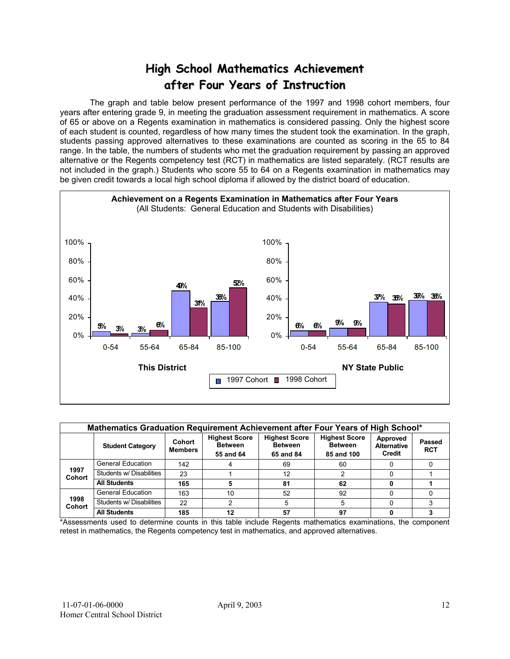# **High School Mathematics Achievement after Four Years of Instruction**

 The graph and table below present performance of the 1997 and 1998 cohort members, four years after entering grade 9, in meeting the graduation assessment requirement in mathematics. A score of 65 or above on a Regents examination in mathematics is considered passing. Only the highest score of each student is counted, regardless of how many times the student took the examination. In the graph, students passing approved alternatives to these examinations are counted as scoring in the 65 to 84 range. In the table, the numbers of students who met the graduation requirement by passing an approved alternative or the Regents competency test (RCT) in mathematics are listed separately. (RCT results are not included in the graph.) Students who score 55 to 64 on a Regents examination in mathematics may be given credit towards a local high school diploma if allowed by the district board of education.



|                       | Mathematics Graduation Requirement Achievement after Four Years of High School* |                          |                                                     |                                                     |                                                      |                                          |                      |  |  |  |  |  |  |
|-----------------------|---------------------------------------------------------------------------------|--------------------------|-----------------------------------------------------|-----------------------------------------------------|------------------------------------------------------|------------------------------------------|----------------------|--|--|--|--|--|--|
|                       | <b>Student Category</b>                                                         | Cohort<br><b>Members</b> | <b>Highest Score</b><br><b>Between</b><br>55 and 64 | <b>Highest Score</b><br><b>Between</b><br>65 and 84 | <b>Highest Score</b><br><b>Between</b><br>85 and 100 | Approved<br><b>Alternative</b><br>Credit | Passed<br><b>RCT</b> |  |  |  |  |  |  |
|                       | <b>General Education</b>                                                        | 142                      |                                                     | 69                                                  | 60                                                   |                                          |                      |  |  |  |  |  |  |
| 1997<br><b>Cohort</b> | Students w/ Disabilities                                                        | 23                       |                                                     | 12                                                  |                                                      |                                          |                      |  |  |  |  |  |  |
|                       | <b>All Students</b>                                                             | 165                      |                                                     | 81                                                  | 62                                                   |                                          |                      |  |  |  |  |  |  |
|                       | <b>General Education</b>                                                        | 163                      | 10                                                  | 52                                                  | 92                                                   |                                          |                      |  |  |  |  |  |  |
| 1998<br><b>Cohort</b> | Students w/ Disabilities                                                        | 22                       | 2                                                   | 5                                                   | 5                                                    |                                          |                      |  |  |  |  |  |  |
|                       | <b>All Students</b>                                                             | 185                      | 12                                                  | 57                                                  | 97                                                   |                                          |                      |  |  |  |  |  |  |

\*Assessments used to determine counts in this table include Regents mathematics examinations, the component retest in mathematics, the Regents competency test in mathematics, and approved alternatives.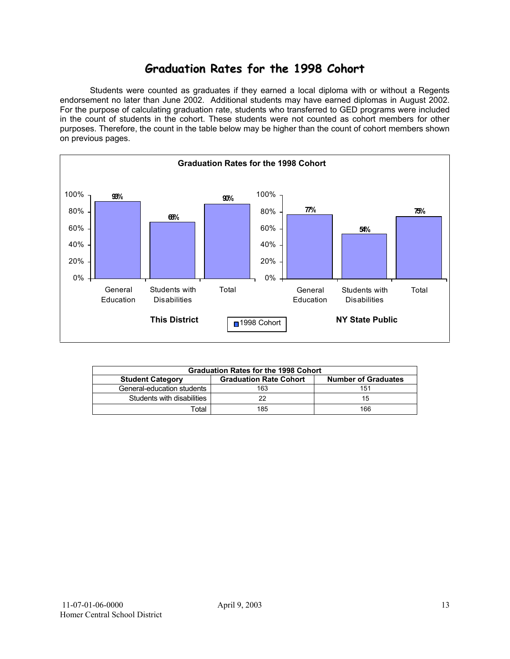## **Graduation Rates for the 1998 Cohort**

 Students were counted as graduates if they earned a local diploma with or without a Regents endorsement no later than June 2002. Additional students may have earned diplomas in August 2002. For the purpose of calculating graduation rate, students who transferred to GED programs were included in the count of students in the cohort. These students were not counted as cohort members for other purposes. Therefore, the count in the table below may be higher than the count of cohort members shown on previous pages.



|                            | <b>Graduation Rates for the 1998 Cohort</b> |                            |  |  |  |  |  |  |  |  |  |
|----------------------------|---------------------------------------------|----------------------------|--|--|--|--|--|--|--|--|--|
| <b>Student Category</b>    | <b>Graduation Rate Cohort</b>               | <b>Number of Graduates</b> |  |  |  |  |  |  |  |  |  |
| General-education students | 163                                         | 151                        |  |  |  |  |  |  |  |  |  |
| Students with disabilities |                                             | 15                         |  |  |  |  |  |  |  |  |  |
| Total                      | 185                                         | 166                        |  |  |  |  |  |  |  |  |  |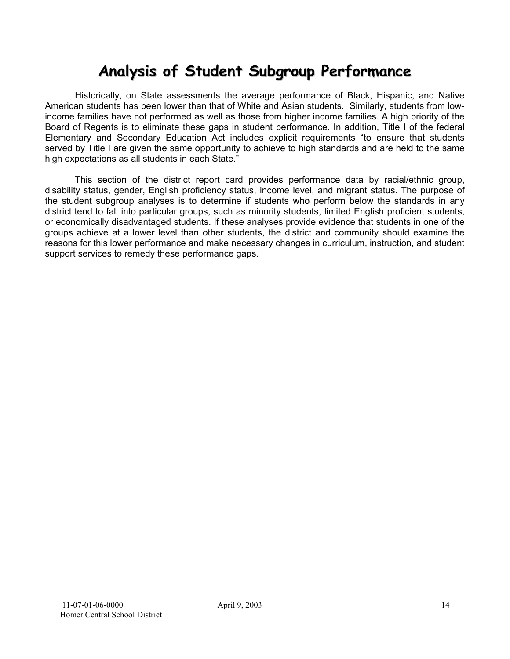# **Analysis of Student Subgroup Performance**

Historically, on State assessments the average performance of Black, Hispanic, and Native American students has been lower than that of White and Asian students. Similarly, students from lowincome families have not performed as well as those from higher income families. A high priority of the Board of Regents is to eliminate these gaps in student performance. In addition, Title I of the federal Elementary and Secondary Education Act includes explicit requirements "to ensure that students served by Title I are given the same opportunity to achieve to high standards and are held to the same high expectations as all students in each State."

This section of the district report card provides performance data by racial/ethnic group, disability status, gender, English proficiency status, income level, and migrant status. The purpose of the student subgroup analyses is to determine if students who perform below the standards in any district tend to fall into particular groups, such as minority students, limited English proficient students, or economically disadvantaged students. If these analyses provide evidence that students in one of the groups achieve at a lower level than other students, the district and community should examine the reasons for this lower performance and make necessary changes in curriculum, instruction, and student support services to remedy these performance gaps.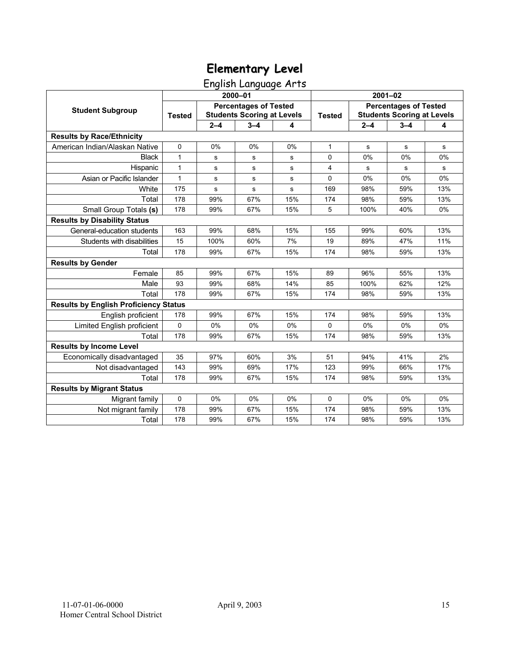# English Language Arts

|                                              |               |             | 2000-01                                                           |     |               | $2001 - 02$                                                       |         |     |  |
|----------------------------------------------|---------------|-------------|-------------------------------------------------------------------|-----|---------------|-------------------------------------------------------------------|---------|-----|--|
| <b>Student Subgroup</b>                      | <b>Tested</b> |             | <b>Percentages of Tested</b><br><b>Students Scoring at Levels</b> |     | <b>Tested</b> | <b>Percentages of Tested</b><br><b>Students Scoring at Levels</b> |         |     |  |
|                                              |               | $2 - 4$     | $3 - 4$                                                           | 4   |               | $2 - 4$                                                           | $3 - 4$ | 4   |  |
| <b>Results by Race/Ethnicity</b>             |               |             |                                                                   |     |               |                                                                   |         |     |  |
| American Indian/Alaskan Native               | 0             | 0%          | 0%                                                                | 0%  | 1             | s                                                                 | s       | s   |  |
| <b>Black</b>                                 | 1             | s           | s                                                                 | s   | 0             | 0%                                                                | 0%      | 0%  |  |
| Hispanic                                     | 1             | s           | ${\bf s}$                                                         | s   | 4             | s                                                                 | s       | s   |  |
| Asian or Pacific Islander                    | 1             | $\mathbf S$ | s                                                                 | s   | 0             | 0%                                                                | 0%      | 0%  |  |
| White                                        | 175           | s           | $\mathbf s$                                                       | s   | 169           | 98%                                                               | 59%     | 13% |  |
| Total                                        | 178           | 99%         | 67%                                                               | 15% | 174           | 98%                                                               | 59%     | 13% |  |
| Small Group Totals (s)                       | 178           | 99%         | 67%                                                               | 15% | 5             | 100%                                                              | 40%     | 0%  |  |
| <b>Results by Disability Status</b>          |               |             |                                                                   |     |               |                                                                   |         |     |  |
| General-education students                   | 163           | 99%         | 68%                                                               | 15% | 155           | 99%                                                               | 60%     | 13% |  |
| Students with disabilities                   | 15            | 100%        | 60%                                                               | 7%  | 19            | 89%                                                               | 47%     | 11% |  |
| Total                                        | 178           | 99%         | 67%                                                               | 15% | 174           | 98%                                                               | 59%     | 13% |  |
| <b>Results by Gender</b>                     |               |             |                                                                   |     |               |                                                                   |         |     |  |
| Female                                       | 85            | 99%         | 67%                                                               | 15% | 89            | 96%                                                               | 55%     | 13% |  |
| Male                                         | 93            | 99%         | 68%                                                               | 14% | 85            | 100%                                                              | 62%     | 12% |  |
| Total                                        | 178           | 99%         | 67%                                                               | 15% | 174           | 98%                                                               | 59%     | 13% |  |
| <b>Results by English Proficiency Status</b> |               |             |                                                                   |     |               |                                                                   |         |     |  |
| English proficient                           | 178           | 99%         | 67%                                                               | 15% | 174           | 98%                                                               | 59%     | 13% |  |
| Limited English proficient                   | 0             | 0%          | 0%                                                                | 0%  | 0             | 0%                                                                | 0%      | 0%  |  |
| Total                                        | 178           | 99%         | 67%                                                               | 15% | 174           | 98%                                                               | 59%     | 13% |  |
| <b>Results by Income Level</b>               |               |             |                                                                   |     |               |                                                                   |         |     |  |
| Economically disadvantaged                   | 35            | 97%         | 60%                                                               | 3%  | 51            | 94%                                                               | 41%     | 2%  |  |
| Not disadvantaged                            | 143           | 99%         | 69%                                                               | 17% | 123           | 99%                                                               | 66%     | 17% |  |
| Total                                        | 178           | 99%         | 67%                                                               | 15% | 174           | 98%                                                               | 59%     | 13% |  |
| <b>Results by Migrant Status</b>             |               |             |                                                                   |     |               |                                                                   |         |     |  |
| Migrant family                               | $\pmb{0}$     | 0%          | 0%                                                                | 0%  | 0             | 0%                                                                | 0%      | 0%  |  |
| Not migrant family                           | 178           | 99%         | 67%                                                               | 15% | 174           | 98%                                                               | 59%     | 13% |  |
| Total                                        | 178           | 99%         | 67%                                                               | 15% | 174           | 98%                                                               | 59%     | 13% |  |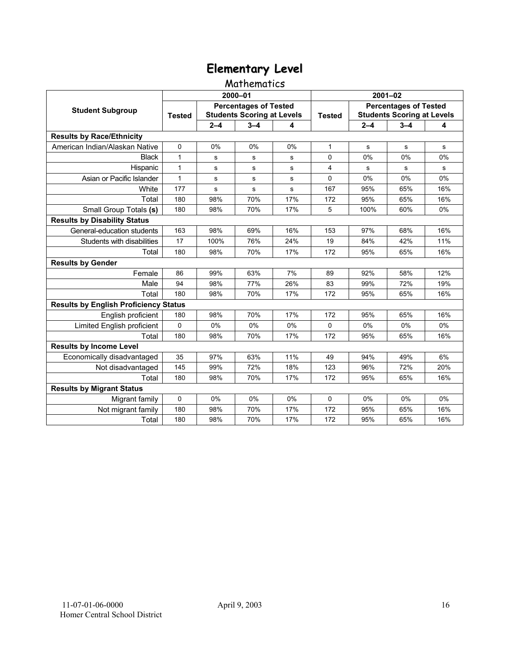## Mathematics

|                                              |               |         | 2000-01                                                           |       | $2001 - 02$   |                                                                   |         |     |  |
|----------------------------------------------|---------------|---------|-------------------------------------------------------------------|-------|---------------|-------------------------------------------------------------------|---------|-----|--|
| <b>Student Subgroup</b>                      | <b>Tested</b> |         | <b>Percentages of Tested</b><br><b>Students Scoring at Levels</b> |       | <b>Tested</b> | <b>Percentages of Tested</b><br><b>Students Scoring at Levels</b> |         |     |  |
|                                              |               | $2 - 4$ | $3 - 4$                                                           | 4     |               | $2 - 4$                                                           | $3 - 4$ | 4   |  |
| <b>Results by Race/Ethnicity</b>             |               |         |                                                                   |       |               |                                                                   |         |     |  |
| American Indian/Alaskan Native               | $\mathbf 0$   | 0%      | 0%                                                                | 0%    | $\mathbf{1}$  | s                                                                 | s       | s   |  |
| <b>Black</b>                                 | $\mathbf{1}$  | s       | s                                                                 | s     | $\Omega$      | 0%                                                                | 0%      | 0%  |  |
| Hispanic                                     | $\mathbf{1}$  | s       | s                                                                 | s     | 4             | s                                                                 | s       | s   |  |
| Asian or Pacific Islander                    | $\mathbf{1}$  | s       | s                                                                 | s     | 0             | 0%                                                                | 0%      | 0%  |  |
| White                                        | 177           | s       | $\mathbf s$                                                       | s     | 167           | 95%                                                               | 65%     | 16% |  |
| Total                                        | 180           | 98%     | 70%                                                               | 17%   | 172           | 95%                                                               | 65%     | 16% |  |
| Small Group Totals (s)                       | 180           | 98%     | 70%                                                               | 17%   | 5             | 100%                                                              | 60%     | 0%  |  |
| <b>Results by Disability Status</b>          |               |         |                                                                   |       |               |                                                                   |         |     |  |
| General-education students                   | 163           | 98%     | 69%                                                               | 16%   | 153           | 97%                                                               | 68%     | 16% |  |
| Students with disabilities                   | 17            | 100%    | 76%                                                               | 24%   | 19            | 84%                                                               | 42%     | 11% |  |
| Total                                        | 180           | 98%     | 70%                                                               | 17%   | 172           | 95%                                                               | 65%     | 16% |  |
| <b>Results by Gender</b>                     |               |         |                                                                   |       |               |                                                                   |         |     |  |
| Female                                       | 86            | 99%     | 63%                                                               | 7%    | 89            | 92%                                                               | 58%     | 12% |  |
| Male                                         | 94            | 98%     | 77%                                                               | 26%   | 83            | 99%                                                               | 72%     | 19% |  |
| Total                                        | 180           | 98%     | 70%                                                               | 17%   | 172           | 95%                                                               | 65%     | 16% |  |
| <b>Results by English Proficiency Status</b> |               |         |                                                                   |       |               |                                                                   |         |     |  |
| English proficient                           | 180           | 98%     | 70%                                                               | 17%   | 172           | 95%                                                               | 65%     | 16% |  |
| Limited English proficient                   | 0             | 0%      | 0%                                                                | 0%    | $\mathbf 0$   | 0%                                                                | 0%      | 0%  |  |
| Total                                        | 180           | 98%     | 70%                                                               | 17%   | 172           | 95%                                                               | 65%     | 16% |  |
| <b>Results by Income Level</b>               |               |         |                                                                   |       |               |                                                                   |         |     |  |
| Economically disadvantaged                   | 35            | 97%     | 63%                                                               | 11%   | 49            | 94%                                                               | 49%     | 6%  |  |
| Not disadvantaged                            | 145           | 99%     | 72%                                                               | 18%   | 123           | 96%                                                               | 72%     | 20% |  |
| Total                                        | 180           | 98%     | 70%                                                               | 17%   | 172           | 95%                                                               | 65%     | 16% |  |
| <b>Results by Migrant Status</b>             |               |         |                                                                   |       |               |                                                                   |         |     |  |
| Migrant family                               | 0             | 0%      | 0%                                                                | $0\%$ | $\Omega$      | 0%                                                                | 0%      | 0%  |  |
| Not migrant family                           | 180           | 98%     | 70%                                                               | 17%   | 172           | 95%                                                               | 65%     | 16% |  |
| Total                                        | 180           | 98%     | 70%                                                               | 17%   | 172           | 95%                                                               | 65%     | 16% |  |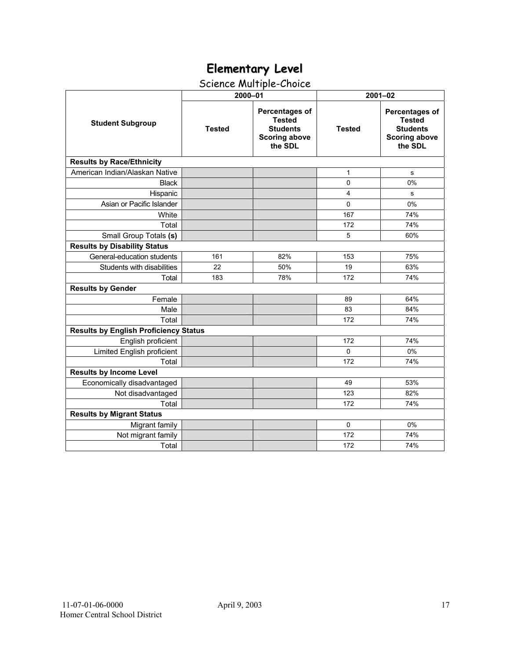# Science Multiple-Choice

|                                              | 2000-01       |                                                                                       | $2001 - 02$   |                                                                                              |  |  |
|----------------------------------------------|---------------|---------------------------------------------------------------------------------------|---------------|----------------------------------------------------------------------------------------------|--|--|
| <b>Student Subgroup</b>                      | <b>Tested</b> | Percentages of<br><b>Tested</b><br><b>Students</b><br><b>Scoring above</b><br>the SDL | <b>Tested</b> | <b>Percentages of</b><br><b>Tested</b><br><b>Students</b><br><b>Scoring above</b><br>the SDL |  |  |
| <b>Results by Race/Ethnicity</b>             |               |                                                                                       |               |                                                                                              |  |  |
| American Indian/Alaskan Native               |               |                                                                                       | $\mathbf{1}$  | s                                                                                            |  |  |
| <b>Black</b>                                 |               |                                                                                       | 0             | 0%                                                                                           |  |  |
| Hispanic                                     |               |                                                                                       | 4             | s                                                                                            |  |  |
| Asian or Pacific Islander                    |               |                                                                                       | $\Omega$      | 0%                                                                                           |  |  |
| White                                        |               |                                                                                       | 167           | 74%                                                                                          |  |  |
| Total                                        |               |                                                                                       | 172           | 74%                                                                                          |  |  |
| Small Group Totals (s)                       |               |                                                                                       | 5             | 60%                                                                                          |  |  |
| <b>Results by Disability Status</b>          |               |                                                                                       |               |                                                                                              |  |  |
| General-education students                   | 161           | 82%                                                                                   | 153           | 75%                                                                                          |  |  |
| Students with disabilities                   | 22            | 50%                                                                                   | 19            | 63%                                                                                          |  |  |
| Total                                        | 183           | 78%                                                                                   | 172           | 74%                                                                                          |  |  |
| <b>Results by Gender</b>                     |               |                                                                                       |               |                                                                                              |  |  |
| Female                                       |               |                                                                                       | 89            | 64%                                                                                          |  |  |
| Male                                         |               |                                                                                       | 83            | 84%                                                                                          |  |  |
| Total                                        |               |                                                                                       | 172           | 74%                                                                                          |  |  |
| <b>Results by English Proficiency Status</b> |               |                                                                                       |               |                                                                                              |  |  |
| English proficient                           |               |                                                                                       | 172           | 74%                                                                                          |  |  |
| Limited English proficient                   |               |                                                                                       | $\Omega$      | 0%                                                                                           |  |  |
| Total                                        |               |                                                                                       | 172           | 74%                                                                                          |  |  |
| <b>Results by Income Level</b>               |               |                                                                                       |               |                                                                                              |  |  |
| Economically disadvantaged                   |               |                                                                                       | 49            | 53%                                                                                          |  |  |
| Not disadvantaged                            |               |                                                                                       | 123           | 82%                                                                                          |  |  |
| Total                                        |               |                                                                                       | 172           | 74%                                                                                          |  |  |
| <b>Results by Migrant Status</b>             |               |                                                                                       |               |                                                                                              |  |  |
| Migrant family                               |               |                                                                                       | $\mathbf 0$   | 0%                                                                                           |  |  |
| Not migrant family                           |               |                                                                                       | 172           | 74%                                                                                          |  |  |
| Total                                        |               |                                                                                       | 172           | 74%                                                                                          |  |  |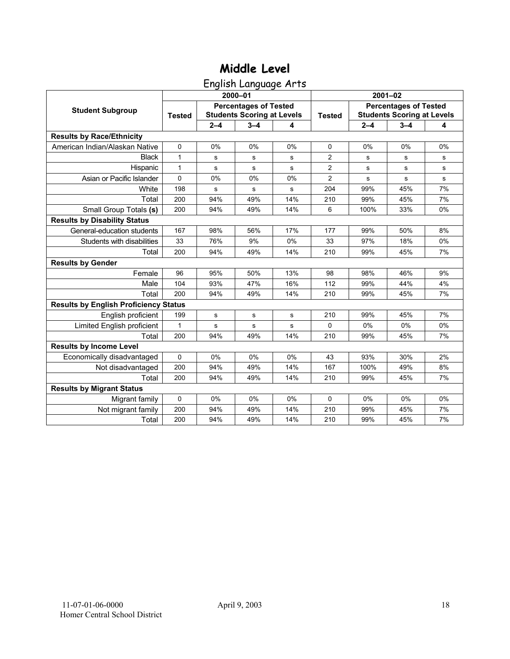English Language Arts

|                                              |               |           | 2000-01                                                           |     | $2001 - 02$    |                                                                   |         |    |  |
|----------------------------------------------|---------------|-----------|-------------------------------------------------------------------|-----|----------------|-------------------------------------------------------------------|---------|----|--|
| <b>Student Subgroup</b>                      | <b>Tested</b> |           | <b>Percentages of Tested</b><br><b>Students Scoring at Levels</b> |     | <b>Tested</b>  | <b>Percentages of Tested</b><br><b>Students Scoring at Levels</b> |         |    |  |
|                                              |               | $2 - 4$   | $3 - 4$                                                           | 4   |                | $2 - 4$                                                           | $3 - 4$ | 4  |  |
| <b>Results by Race/Ethnicity</b>             |               |           |                                                                   |     |                |                                                                   |         |    |  |
| American Indian/Alaskan Native               | $\Omega$      | 0%        | 0%                                                                | 0%  | $\Omega$       | 0%                                                                | 0%      | 0% |  |
| <b>Black</b>                                 | $\mathbf{1}$  | s         | s                                                                 | s   | $\overline{2}$ | s                                                                 | s       | s  |  |
| Hispanic                                     | $\mathbf{1}$  | s         | s                                                                 | s   | 2              | s                                                                 | s       | s  |  |
| Asian or Pacific Islander                    | 0             | 0%        | 0%                                                                | 0%  | $\overline{2}$ | $\mathbf s$                                                       | s       | s  |  |
| White                                        | 198           | s         | s                                                                 | s   | 204            | 99%                                                               | 45%     | 7% |  |
| Total                                        | 200           | 94%       | 49%                                                               | 14% | 210            | 99%                                                               | 45%     | 7% |  |
| Small Group Totals (s)                       | 200           | 94%       | 49%                                                               | 14% | 6              | 100%                                                              | 33%     | 0% |  |
| <b>Results by Disability Status</b>          |               |           |                                                                   |     |                |                                                                   |         |    |  |
| General-education students                   | 167           | 98%       | 56%                                                               | 17% | 177            | 99%                                                               | 50%     | 8% |  |
| Students with disabilities                   | 33            | 76%       | 9%                                                                | 0%  | 33             | 97%                                                               | 18%     | 0% |  |
| Total                                        | 200           | 94%       | 49%                                                               | 14% | 210            | 99%                                                               | 45%     | 7% |  |
| <b>Results by Gender</b>                     |               |           |                                                                   |     |                |                                                                   |         |    |  |
| Female                                       | 96            | 95%       | 50%                                                               | 13% | 98             | 98%                                                               | 46%     | 9% |  |
| Male                                         | 104           | 93%       | 47%                                                               | 16% | 112            | 99%                                                               | 44%     | 4% |  |
| Total                                        | 200           | 94%       | 49%                                                               | 14% | 210            | 99%                                                               | 45%     | 7% |  |
| <b>Results by English Proficiency Status</b> |               |           |                                                                   |     |                |                                                                   |         |    |  |
| English proficient                           | 199           | ${\bf s}$ | s                                                                 | s   | 210            | 99%                                                               | 45%     | 7% |  |
| Limited English proficient                   | 1             | s         | s                                                                 | s   | $\Omega$       | 0%                                                                | 0%      | 0% |  |
| Total                                        | 200           | 94%       | 49%                                                               | 14% | 210            | 99%                                                               | 45%     | 7% |  |
| <b>Results by Income Level</b>               |               |           |                                                                   |     |                |                                                                   |         |    |  |
| Economically disadvantaged                   | $\Omega$      | 0%        | 0%                                                                | 0%  | 43             | 93%                                                               | 30%     | 2% |  |
| Not disadvantaged                            | 200           | 94%       | 49%                                                               | 14% | 167            | 100%                                                              | 49%     | 8% |  |
| Total                                        | 200           | 94%       | 49%                                                               | 14% | 210            | 99%                                                               | 45%     | 7% |  |
| <b>Results by Migrant Status</b>             |               |           |                                                                   |     |                |                                                                   |         |    |  |
| Migrant family                               | $\mathbf 0$   | 0%        | 0%                                                                | 0%  | $\Omega$       | $0\%$                                                             | 0%      | 0% |  |
| Not migrant family                           | 200           | 94%       | 49%                                                               | 14% | 210            | 99%                                                               | 45%     | 7% |  |
| Total                                        | 200           | 94%       | 49%                                                               | 14% | 210            | 99%                                                               | 45%     | 7% |  |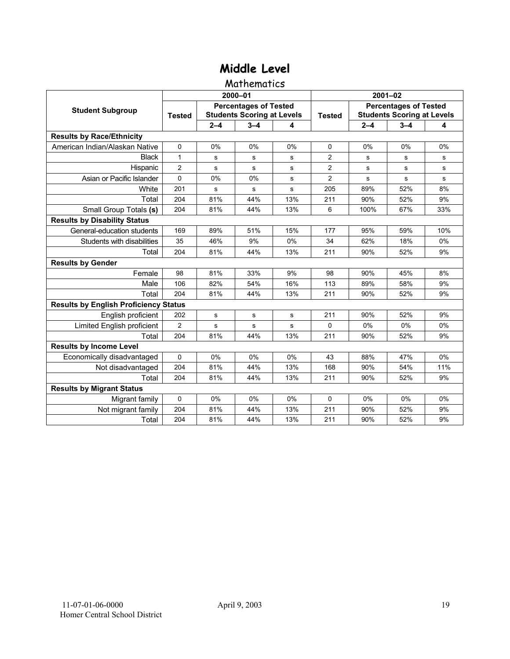### **Mathematics**

|                                              |                |           | 2000-01                                                           |       | $2001 - 02$    |                                                                   |             |       |  |
|----------------------------------------------|----------------|-----------|-------------------------------------------------------------------|-------|----------------|-------------------------------------------------------------------|-------------|-------|--|
| <b>Student Subgroup</b>                      | <b>Tested</b>  |           | <b>Percentages of Tested</b><br><b>Students Scoring at Levels</b> |       | <b>Tested</b>  | <b>Percentages of Tested</b><br><b>Students Scoring at Levels</b> |             |       |  |
|                                              |                | $2 - 4$   | $3 - 4$                                                           | 4     |                | $2 - 4$                                                           | $3 - 4$     | 4     |  |
| <b>Results by Race/Ethnicity</b>             |                |           |                                                                   |       |                |                                                                   |             |       |  |
| American Indian/Alaskan Native               | $\Omega$       | 0%        | 0%                                                                | 0%    | $\Omega$       | 0%                                                                | 0%          | 0%    |  |
| <b>Black</b>                                 | $\mathbf{1}$   | s         | s                                                                 | s     | 2              | s                                                                 | s           | s     |  |
| Hispanic                                     | $\overline{2}$ | s         | s                                                                 | s     | $\overline{2}$ | s                                                                 | s           | s     |  |
| Asian or Pacific Islander                    | 0              | 0%        | 0%                                                                | s     | $\overline{2}$ | $\mathbf s$                                                       | $\mathbf s$ | s     |  |
| White                                        | 201            | s         | $\mathbf s$                                                       | s     | 205            | 89%                                                               | 52%         | 8%    |  |
| Total                                        | 204            | 81%       | 44%                                                               | 13%   | 211            | 90%                                                               | 52%         | 9%    |  |
| Small Group Totals (s)                       | 204            | 81%       | 44%                                                               | 13%   | 6              | 100%                                                              | 67%         | 33%   |  |
| <b>Results by Disability Status</b>          |                |           |                                                                   |       |                |                                                                   |             |       |  |
| General-education students                   | 169            | 89%       | 51%                                                               | 15%   | 177            | 95%                                                               | 59%         | 10%   |  |
| Students with disabilities                   | 35             | 46%       | 9%                                                                | 0%    | 34             | 62%                                                               | 18%         | 0%    |  |
| Total                                        | 204            | 81%       | 44%                                                               | 13%   | 211            | 90%                                                               | 52%         | 9%    |  |
| <b>Results by Gender</b>                     |                |           |                                                                   |       |                |                                                                   |             |       |  |
| Female                                       | 98             | 81%       | 33%                                                               | 9%    | 98             | 90%                                                               | 45%         | 8%    |  |
| Male                                         | 106            | 82%       | 54%                                                               | 16%   | 113            | 89%                                                               | 58%         | 9%    |  |
| Total                                        | 204            | 81%       | 44%                                                               | 13%   | 211            | 90%                                                               | 52%         | 9%    |  |
| <b>Results by English Proficiency Status</b> |                |           |                                                                   |       |                |                                                                   |             |       |  |
| English proficient                           | 202            | ${\bf s}$ | s                                                                 | s     | 211            | 90%                                                               | 52%         | 9%    |  |
| Limited English proficient                   | $\overline{2}$ | s         | s                                                                 | s     | $\Omega$       | 0%                                                                | 0%          | 0%    |  |
| Total                                        | 204            | 81%       | 44%                                                               | 13%   | 211            | 90%                                                               | 52%         | 9%    |  |
| <b>Results by Income Level</b>               |                |           |                                                                   |       |                |                                                                   |             |       |  |
| Economically disadvantaged                   | 0              | 0%        | 0%                                                                | 0%    | 43             | 88%                                                               | 47%         | 0%    |  |
| Not disadvantaged                            | 204            | 81%       | 44%                                                               | 13%   | 168            | 90%                                                               | 54%         | 11%   |  |
| Total                                        | 204            | 81%       | 44%                                                               | 13%   | 211            | 90%                                                               | 52%         | 9%    |  |
| <b>Results by Migrant Status</b>             |                |           |                                                                   |       |                |                                                                   |             |       |  |
| Migrant family                               | 0              | 0%        | $0\%$                                                             | $0\%$ | $\Omega$       | $0\%$                                                             | 0%          | $0\%$ |  |
| Not migrant family                           | 204            | 81%       | 44%                                                               | 13%   | 211            | 90%                                                               | 52%         | 9%    |  |
| Total                                        | 204            | 81%       | 44%                                                               | 13%   | 211            | 90%                                                               | 52%         | 9%    |  |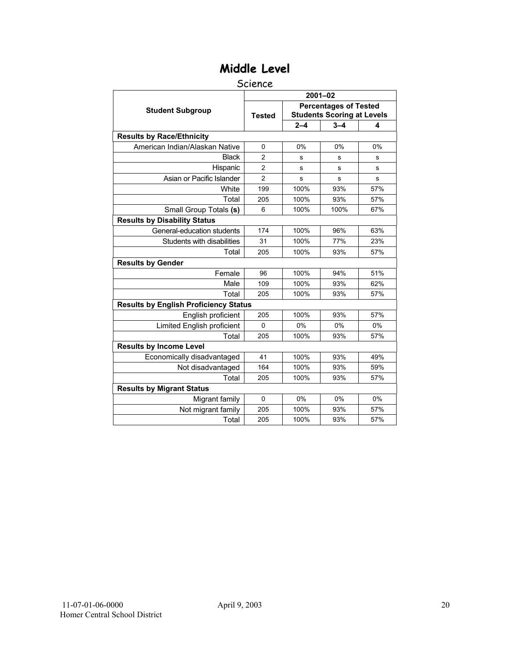### Science

|                                              | $2001 - 02$    |         |                                                                   |     |  |  |  |  |
|----------------------------------------------|----------------|---------|-------------------------------------------------------------------|-----|--|--|--|--|
| <b>Student Subgroup</b>                      | <b>Tested</b>  |         | <b>Percentages of Tested</b><br><b>Students Scoring at Levels</b> |     |  |  |  |  |
|                                              |                | $2 - 4$ | $3 - 4$                                                           | 4   |  |  |  |  |
| <b>Results by Race/Ethnicity</b>             |                |         |                                                                   |     |  |  |  |  |
| American Indian/Alaskan Native               | $\mathbf 0$    | 0%      | 0%                                                                | 0%  |  |  |  |  |
| <b>Black</b>                                 | $\overline{2}$ | s       | s                                                                 | s   |  |  |  |  |
| Hispanic                                     | $\overline{2}$ | s       | s                                                                 | s   |  |  |  |  |
| Asian or Pacific Islander                    | $\overline{2}$ | s       | s                                                                 | s   |  |  |  |  |
| White                                        | 199            | 100%    | 93%                                                               | 57% |  |  |  |  |
| Total                                        | 205            | 100%    | 93%                                                               | 57% |  |  |  |  |
| Small Group Totals (s)                       | 6              | 100%    | 100%                                                              | 67% |  |  |  |  |
| <b>Results by Disability Status</b>          |                |         |                                                                   |     |  |  |  |  |
| General-education students                   | 174            | 100%    | 96%                                                               | 63% |  |  |  |  |
| Students with disabilities                   | 31             | 100%    | 77%                                                               | 23% |  |  |  |  |
| Total                                        | 205            | 100%    | 93%                                                               | 57% |  |  |  |  |
| <b>Results by Gender</b>                     |                |         |                                                                   |     |  |  |  |  |
| Female                                       | 96             | 100%    | 94%                                                               | 51% |  |  |  |  |
| Male                                         | 109            | 100%    | 93%                                                               | 62% |  |  |  |  |
| Total                                        | 205            | 100%    | 93%                                                               | 57% |  |  |  |  |
| <b>Results by English Proficiency Status</b> |                |         |                                                                   |     |  |  |  |  |
| English proficient                           | 205            | 100%    | 93%                                                               | 57% |  |  |  |  |
| Limited English proficient                   | $\mathbf{0}$   | 0%      | 0%                                                                | 0%  |  |  |  |  |
| Total                                        | 205            | 100%    | 93%                                                               | 57% |  |  |  |  |
| <b>Results by Income Level</b>               |                |         |                                                                   |     |  |  |  |  |
| Economically disadvantaged                   | 41             | 100%    | 93%                                                               | 49% |  |  |  |  |
| Not disadvantaged                            | 164            | 100%    | 93%                                                               | 59% |  |  |  |  |
| Total                                        | 205            | 100%    | 93%                                                               | 57% |  |  |  |  |
| <b>Results by Migrant Status</b>             |                |         |                                                                   |     |  |  |  |  |
| Migrant family                               | $\Omega$       | 0%      | 0%                                                                | 0%  |  |  |  |  |
| Not migrant family                           | 205            | 100%    | 93%                                                               | 57% |  |  |  |  |
| Total                                        | 205            | 100%    | 93%                                                               | 57% |  |  |  |  |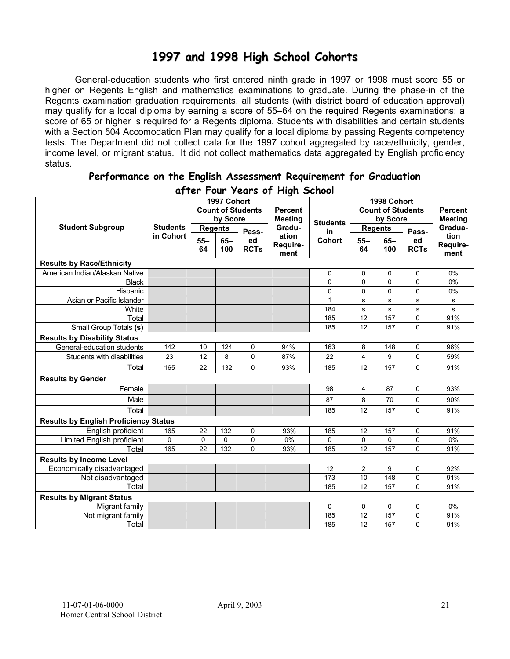## **1997 and 1998 High School Cohorts**

General-education students who first entered ninth grade in 1997 or 1998 must score 55 or higher on Regents English and mathematics examinations to graduate. During the phase-in of the Regents examination graduation requirements, all students (with district board of education approval) may qualify for a local diploma by earning a score of 55–64 on the required Regents examinations; a score of 65 or higher is required for a Regents diploma. Students with disabilities and certain students with a Section 504 Accomodation Plan may qualify for a local diploma by passing Regents competency tests. The Department did not collect data for the 1997 cohort aggregated by race/ethnicity, gender, income level, or migrant status. It did not collect mathematics data aggregated by English proficiency status.

| alier Tour Zears of Flight School            |                 |                |             |                          |                |                 |                |                          |             |                |
|----------------------------------------------|-----------------|----------------|-------------|--------------------------|----------------|-----------------|----------------|--------------------------|-------------|----------------|
|                                              |                 |                | 1997 Cohort |                          |                |                 |                | 1998 Cohort              |             |                |
|                                              |                 |                |             | <b>Count of Students</b> | <b>Percent</b> |                 |                | <b>Count of Students</b> |             | <b>Percent</b> |
|                                              |                 |                | by Score    |                          | <b>Meeting</b> | <b>Students</b> |                | by Score                 |             | <b>Meeting</b> |
| <b>Student Subgroup</b>                      | <b>Students</b> | <b>Regents</b> |             | Pass-                    | Gradu-         | in              |                | <b>Regents</b>           | Pass-       | Gradua-        |
|                                              | in Cohort       | $55 -$         | $65-$       | ed                       | ation          | <b>Cohort</b>   | $55 -$         | $65-$                    | ed          | tion           |
|                                              |                 | 64             | 100         | <b>RCTs</b>              | Require-       |                 | 64             | 100                      | <b>RCTs</b> | Require-       |
|                                              |                 |                |             |                          | ment           |                 |                |                          |             | ment           |
| <b>Results by Race/Ethnicity</b>             |                 |                |             |                          |                |                 |                |                          |             |                |
| American Indian/Alaskan Native               |                 |                |             |                          |                | 0               | 0              | 0                        | 0           | 0%             |
| <b>Black</b>                                 |                 |                |             |                          |                | 0               | 0              | 0                        | 0           | 0%             |
| Hispanic                                     |                 |                |             |                          |                | 0               | 0              | 0                        | 0           | 0%             |
| Asian or Pacific Islander                    |                 |                |             |                          |                | 1               | s              | ${\bf s}$                | s           | s              |
| White                                        |                 |                |             |                          |                | 184             | s              | ${\bf s}$                | s           | s              |
| Total                                        |                 |                |             |                          |                | 185             | 12             | 157                      | 0           | 91%            |
| Small Group Totals (s)                       |                 |                |             |                          |                | 185             | 12             | 157                      | 0           | 91%            |
| <b>Results by Disability Status</b>          |                 |                |             |                          |                |                 |                |                          |             |                |
| General-education students                   | 142             | 10             | 124         | $\mathbf 0$              | 94%            | 163             | 8              | 148                      | 0           | 96%            |
| Students with disabilities                   | 23              | 12             | 8           | 0                        | 87%            | 22              | $\overline{4}$ | 9                        | 0           | 59%            |
| Total                                        | 165             | 22             | 132         | $\Omega$                 | 93%            | 185             | 12             | 157                      | 0           | 91%            |
| <b>Results by Gender</b>                     |                 |                |             |                          |                |                 |                |                          |             |                |
| Female                                       |                 |                |             |                          |                | 98              | 4              | 87                       | $\Omega$    | 93%            |
| Male                                         |                 |                |             |                          |                | 87              | 8              | 70                       | 0           | 90%            |
| Total                                        |                 |                |             |                          |                | 185             | 12             | 157                      | 0           | 91%            |
| <b>Results by English Proficiency Status</b> |                 |                |             |                          |                |                 |                |                          |             |                |
| English proficient                           | 165             | 22             | 132         | 0                        | 93%            | 185             | 12             | 157                      | 0           | 91%            |
| Limited English proficient                   | $\mathbf 0$     | $\mathbf 0$    | 0           | $\mathbf 0$              | 0%             | 0               | 0              | 0                        | 0           | 0%             |
| Total                                        | 165             | 22             | 132         | $\Omega$                 | 93%            | 185             | 12             | 157                      | 0           | 91%            |
| <b>Results by Income Level</b>               |                 |                |             |                          |                |                 |                |                          |             |                |
| Economically disadvantaged                   |                 |                |             |                          |                | 12              | $\overline{2}$ | 9                        | 0           | 92%            |
| Not disadvantaged                            |                 |                |             |                          |                | 173             | 10             | 148                      | 0           | 91%            |
| Total                                        |                 |                |             |                          |                | 185             | 12             | 157                      | 0           | 91%            |
| <b>Results by Migrant Status</b>             |                 |                |             |                          |                |                 |                |                          |             |                |
| Migrant family                               |                 |                |             |                          |                | 0               | 0              | 0                        | 0           | 0%             |
| Not migrant family                           |                 |                |             |                          |                | 185             | 12             | 157                      | 0           | 91%            |
| Total                                        |                 |                |             |                          |                | 185             | 12             | 157                      | 0           | 91%            |

#### **Performance on the English Assessment Requirement for Graduation after Four Years of High School**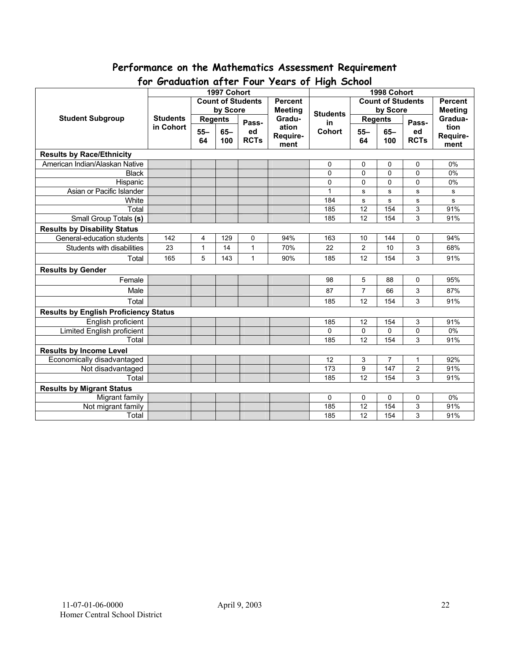# **Performance on the Mathematics Assessment Requirement**

| יש ו<br>$\sigma$<br>$1$ cuts by The street<br>1997 Cohort<br>1998 Cohort |                 |                |                                            |              |                |                 |                |                          |                         |                |
|--------------------------------------------------------------------------|-----------------|----------------|--------------------------------------------|--------------|----------------|-----------------|----------------|--------------------------|-------------------------|----------------|
|                                                                          |                 |                | <b>Count of Students</b><br><b>Percent</b> |              |                |                 |                | <b>Count of Students</b> |                         | <b>Percent</b> |
|                                                                          |                 |                | by Score                                   |              | <b>Meeting</b> |                 |                | by Score                 |                         | <b>Meeting</b> |
| <b>Student Subgroup</b>                                                  | <b>Students</b> | <b>Regents</b> |                                            |              | Gradu-         | <b>Students</b> | <b>Regents</b> |                          |                         | Gradua-        |
|                                                                          | in Cohort       |                |                                            | Pass-        | ation          | in              |                |                          | Pass-                   | tion           |
|                                                                          |                 | $55 -$         | $65 -$                                     | ed           | Require-       | <b>Cohort</b>   | $55 -$         | $65-$                    | ed                      | Require-       |
|                                                                          |                 | 64             | 100                                        | <b>RCTs</b>  | ment           |                 | 64             | 100                      | <b>RCTs</b>             | ment           |
| <b>Results by Race/Ethnicity</b>                                         |                 |                |                                            |              |                |                 |                |                          |                         |                |
| American Indian/Alaskan Native                                           |                 |                |                                            |              |                | 0               | 0              | 0                        | 0                       | 0%             |
| <b>Black</b>                                                             |                 |                |                                            |              |                | 0               | $\mathbf{0}$   | $\mathbf 0$              | 0                       | 0%             |
| Hispanic                                                                 |                 |                |                                            |              |                | 0               | $\Omega$       | 0                        | 0                       | 0%             |
| Asian or Pacific Islander                                                |                 |                |                                            |              |                | 1               | s              | ${\bf s}$                | s                       | s              |
| White                                                                    |                 |                |                                            |              |                | 184             | s              | s                        | s                       | $\mathbf{s}$   |
| Total                                                                    |                 |                |                                            |              |                | 185             | 12             | 154                      | $\overline{3}$          | 91%            |
| <b>Small Group Totals (s)</b>                                            |                 |                |                                            |              |                | 185             | 12             | 154                      | 3                       | 91%            |
| <b>Results by Disability Status</b>                                      |                 |                |                                            |              |                |                 |                |                          |                         |                |
| General-education students                                               | 142             | 4              | 129                                        | 0            | 94%            | 163             | 10             | 144                      | 0                       | 94%            |
| Students with disabilities                                               | 23              | $\mathbf{1}$   | 14                                         | $\mathbf{1}$ | 70%            | 22              | $\overline{2}$ | 10                       | 3                       | 68%            |
| Total                                                                    | 165             | 5              | 143                                        | 1            | 90%            | 185             | 12             | 154                      | 3                       | 91%            |
| <b>Results by Gender</b>                                                 |                 |                |                                            |              |                |                 |                |                          |                         |                |
| Female                                                                   |                 |                |                                            |              |                | 98              | 5              | 88                       | 0                       | 95%            |
| Male                                                                     |                 |                |                                            |              |                | 87              | $\overline{7}$ | 66                       | 3                       | 87%            |
| Total                                                                    |                 |                |                                            |              |                | 185             | 12             | 154                      | 3                       | 91%            |
| <b>Results by English Proficiency Status</b>                             |                 |                |                                            |              |                |                 |                |                          |                         |                |
| English proficient                                                       |                 |                |                                            |              |                | 185             | 12             | 154                      | 3                       | 91%            |
| <b>Limited English proficient</b>                                        |                 |                |                                            |              |                | $\Omega$        | $\Omega$       | 0                        | 0                       | 0%             |
| Total                                                                    |                 |                |                                            |              |                | 185             | 12             | 154                      | 3                       | 91%            |
| <b>Results by Income Level</b>                                           |                 |                |                                            |              |                |                 |                |                          |                         |                |
| Economically disadvantaged                                               |                 |                |                                            |              |                | 12              | 3              | 7                        | 1                       | 92%            |
| Not disadvantaged                                                        |                 |                |                                            |              |                | 173             | 9              | 147                      | $\overline{\mathbf{c}}$ | 91%            |
| Total                                                                    |                 |                |                                            |              |                | 185             | 12             | 154                      | 3                       | 91%            |
| <b>Results by Migrant Status</b>                                         |                 |                |                                            |              |                |                 |                |                          |                         |                |
| Migrant family                                                           |                 |                |                                            |              |                | 0               | 0              | 0                        | 0                       | 0%             |
| Not migrant family                                                       |                 |                |                                            |              |                | 185             | 12             | 154                      | 3                       | 91%            |
| Total                                                                    |                 |                |                                            |              |                | 185             | 12             | 154                      | 3                       | 91%            |

# **for Graduation after Four Years of High School**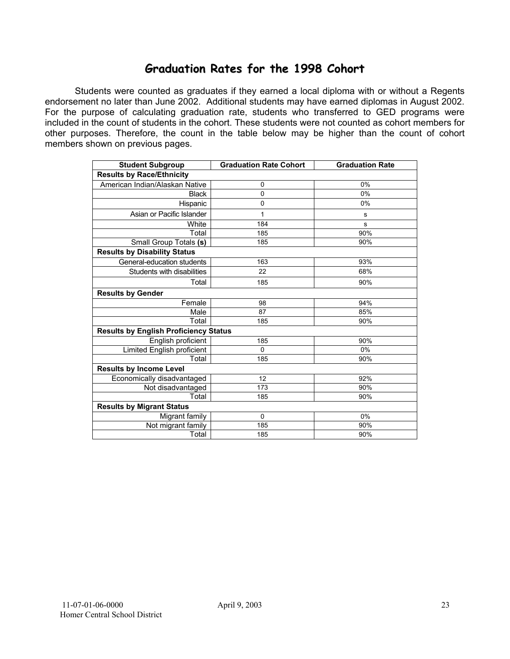## **Graduation Rates for the 1998 Cohort**

Students were counted as graduates if they earned a local diploma with or without a Regents endorsement no later than June 2002. Additional students may have earned diplomas in August 2002. For the purpose of calculating graduation rate, students who transferred to GED programs were included in the count of students in the cohort. These students were not counted as cohort members for other purposes. Therefore, the count in the table below may be higher than the count of cohort members shown on previous pages.

| <b>Student Subgroup</b>                      | <b>Graduation Rate Cohort</b> | <b>Graduation Rate</b> |
|----------------------------------------------|-------------------------------|------------------------|
| <b>Results by Race/Ethnicity</b>             |                               |                        |
| American Indian/Alaskan Native               | 0                             | 0%                     |
| <b>Black</b>                                 | 0                             | 0%                     |
| Hispanic                                     | 0                             | 0%                     |
| Asian or Pacific Islander                    | 1                             | s                      |
| White                                        | 184                           | s                      |
| Total                                        | 185                           | 90%                    |
| Small Group Totals (s)                       | 185                           | 90%                    |
| <b>Results by Disability Status</b>          |                               |                        |
| General-education students                   | 163                           | 93%                    |
| Students with disabilities                   | 22                            | 68%                    |
| Total                                        | 185                           | 90%                    |
| <b>Results by Gender</b>                     |                               |                        |
| Female                                       | 98                            | 94%                    |
| Male                                         | 87                            | 85%                    |
| Total                                        | 185                           | 90%                    |
| <b>Results by English Proficiency Status</b> |                               |                        |
| English proficient                           | 185                           | 90%                    |
| Limited English proficient                   | 0                             | 0%                     |
| Total                                        | 185                           | 90%                    |
| <b>Results by Income Level</b>               |                               |                        |
| Economically disadvantaged                   | 12                            | 92%                    |
| Not disadvantaged                            | 173                           | 90%                    |
| Total                                        | 185                           | 90%                    |
| <b>Results by Migrant Status</b>             |                               |                        |
| Migrant family                               | $\mathbf 0$                   | 0%                     |
| Not migrant family                           | 185                           | 90%                    |
| Total                                        | 185                           | 90%                    |